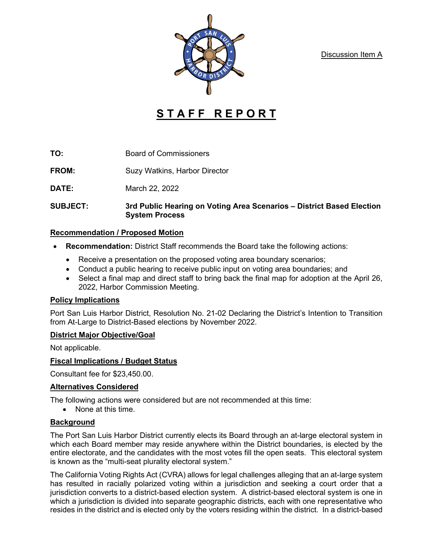Discussion Item A



# **STAFF REPORT**

**TO:** Board of Commissioners

**FROM:** Suzy Watkins, Harbor Director

**DATE:** March 22, 2022

**SUBJECT: 3rd Public Hearing on Voting Area Scenarios – District Based Election System Process**

## **Recommendation / Proposed Motion**

- **Recommendation:** District Staff recommends the Board take the following actions:
	- Receive a presentation on the proposed voting area boundary scenarios;
	- Conduct a public hearing to receive public input on voting area boundaries; and
	- Select a final map and direct staff to bring back the final map for adoption at the April 26, 2022, Harbor Commission Meeting.

## **Policy Implications**

Port San Luis Harbor District, Resolution No. 21-02 Declaring the District's Intention to Transition from At-Large to District-Based elections by November 2022.

## **District Major Objective/Goal**

Not applicable.

## **Fiscal Implications / Budget Status**

Consultant fee for \$23,450.00.

## **Alternatives Considered**

The following actions were considered but are not recommended at this time:

• None at this time.

## **Background**

The Port San Luis Harbor District currently elects its Board through an at-large electoral system in which each Board member may reside anywhere within the District boundaries, is elected by the entire electorate, and the candidates with the most votes fill the open seats. This electoral system is known as the "multi-seat plurality electoral system."

The California Voting Rights Act (CVRA) allows for legal challenges alleging that an at-large system has resulted in racially polarized voting within a jurisdiction and seeking a court order that a jurisdiction converts to a district-based election system. A district-based electoral system is one in which a jurisdiction is divided into separate geographic districts, each with one representative who resides in the district and is elected only by the voters residing within the district. In a district-based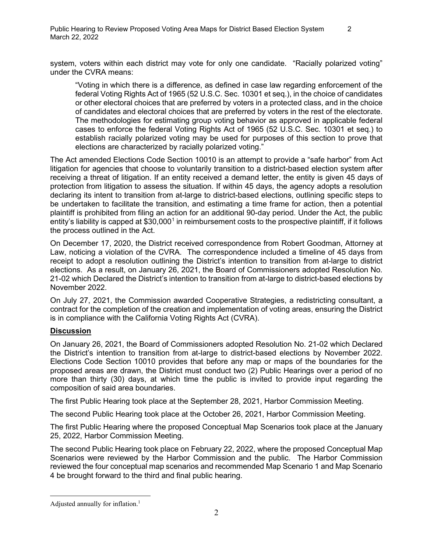system, voters within each district may vote for only one candidate. "Racially polarized voting" under the CVRA means:

"Voting in which there is a difference, as defined in case law regarding enforcement of the federal Voting Rights Act of 1965 (52 U.S.C. Sec. 10301 et seq.), in the choice of candidates or other electoral choices that are preferred by voters in a protected class, and in the choice of candidates and electoral choices that are preferred by voters in the rest of the electorate. The methodologies for estimating group voting behavior as approved in applicable federal cases to enforce the federal Voting Rights Act of 1965 (52 U.S.C. Sec. 10301 et seq.) to establish racially polarized voting may be used for purposes of this section to prove that elections are characterized by racially polarized voting."

The Act amended Elections Code Section 10010 is an attempt to provide a "safe harbor" from Act litigation for agencies that choose to voluntarily transition to a district-based election system after receiving a threat of litigation. If an entity received a demand letter, the entity is given 45 days of protection from litigation to assess the situation. If within 45 days, the agency adopts a resolution declaring its intent to transition from at-large to district-based elections, outlining specific steps to be undertaken to facilitate the transition, and estimating a time frame for action, then a potential plaintiff is prohibited from filing an action for an additional 90-day period. Under the Act, the public entity's liability is capped at  $$30,000<sup>1</sup>$  in reimbursement costs to the prospective plaintiff, if it follows the process outlined in the Act.

On December 17, 2020, the District received correspondence from Robert Goodman, Attorney at Law, noticing a violation of the CVRA. The correspondence included a timeline of 45 days from receipt to adopt a resolution outlining the District's intention to transition from at-large to district elections. As a result, on January 26, 2021, the Board of Commissioners adopted Resolution No. 21-02 which Declared the District's intention to transition from at-large to district-based elections by November 2022.

On July 27, 2021, the Commission awarded Cooperative Strategies, a redistricting consultant, a contract for the completion of the creation and implementation of voting areas, ensuring the District is in compliance with the California Voting Rights Act (CVRA).

## **Discussion**

On January 26, 2021, the Board of Commissioners adopted Resolution No. 21-02 which Declared the District's intention to transition from at-large to district-based elections by November 2022. Elections Code Section 10010 provides that before any map or maps of the boundaries for the proposed areas are drawn, the District must conduct two (2) Public Hearings over a period of no more than thirty (30) days, at which time the public is invited to provide input regarding the composition of said area boundaries.

The first Public Hearing took place at the September 28, 2021, Harbor Commission Meeting.

The second Public Hearing took place at the October 26, 2021, Harbor Commission Meeting.

The first Public Hearing where the proposed Conceptual Map Scenarios took place at the January 25, 2022, Harbor Commission Meeting.

The second Public Hearing took place on February 22, 2022, where the proposed Conceptual Map Scenarios were reviewed by the Harbor Commission and the public. The Harbor Commission reviewed the four conceptual map scenarios and recommended Map Scenario 1 and Map Scenario 4 be brought forward to the third and final public hearing.

<span id="page-1-0"></span>Adjusted annually for inflation. $<sup>1</sup>$ </sup>